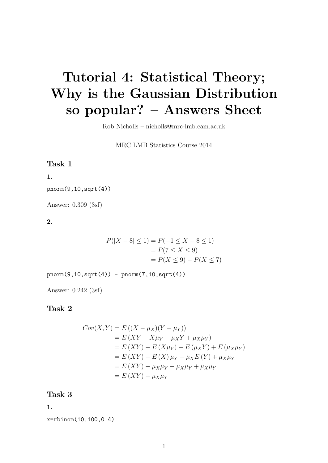# Tutorial 4: Statistical Theory; Why is the Gaussian Distribution so popular? – Answers Sheet

Rob Nicholls – nicholls@mrc-lmb.cam.ac.uk

MRC LMB Statistics Course 2014

#### Task 1

#### 1.

pnorm(9,10,sqrt(4))

Answer: 0.309 (3sf)

2.

$$
P(|X - 8| \le 1) = P(-1 \le X - 8 \le 1)
$$
  
=  $P(7 \le X \le 9)$   
=  $P(X \le 9) - P(X \le 7)$ 

 $pnorm(9, 10, sqrt(4)) - pnorm(7, 10, sqrt(4))$ 

Answer: 0.242 (3sf)

#### Task 2

$$
Cov(X, Y) = E ((X – \mu_X)(Y – \mu_Y))
$$
  
= E (XY – X $\mu_Y$  –  $\mu_X Y$  +  $\mu_X \mu_Y$ )  
= E (XY) – E (X $\mu_Y$ ) – E ( $\mu_X Y$ ) + E ( $\mu_X \mu_Y$ )  
= E (XY) – E (X)  $\mu_Y$  –  $\mu_X E(Y)$  +  $\mu_X \mu_Y$   
= E (XY) –  $\mu_X \mu_Y$  –  $\mu_X \mu_Y$  +  $\mu_X \mu_Y$   
= E (XY) –  $\mu_X \mu_Y$ 

Task 3

1.

x=rbinom(10,100,0.4)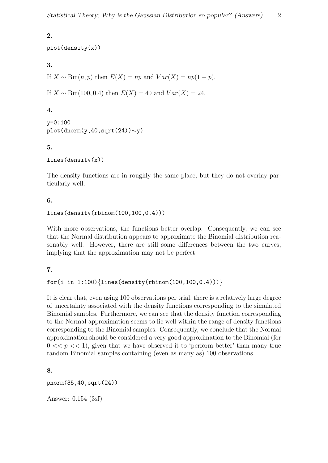# 2.

```
plot(density(x))
```
3.

```
If X \sim Bin(n, p) then E(X) = np and Var(X) = np(1 - p).
```
If  $X \sim Bin(100, 0.4)$  then  $E(X) = 40$  and  $Var(X) = 24$ .

# 4.

```
y=0:100
plot(dnorm(y,40,sqrt(24))∼y)
```
### 5.

lines(density(x))

The density functions are in roughly the same place, but they do not overlay particularly well.

### 6.

```
lines(density(rbinom(100,100,0.4)))
```
With more observations, the functions better overlap. Consequently, we can see that the Normal distribution appears to approximate the Binomial distribution reasonably well. However, there are still some differences between the two curves, implying that the approximation may not be perfect.

## 7.

```
for(i in 1:100)\{lines(density(rbinom(100, 100, 0.4)))\}
```
It is clear that, even using 100 observations per trial, there is a relatively large degree of uncertainty associated with the density functions corresponding to the simulated Binomial samples. Furthermore, we can see that the density function corresponding to the Normal approximation seems to lie well within the range of density functions corresponding to the Binomial samples. Consequently, we conclude that the Normal approximation should be considered a very good approximation to the Binomial (for  $0 \ll p \ll 1$ , given that we have observed it to 'perform better' than many true random Binomial samples containing (even as many as) 100 observations.

8.

```
pnorm(35,40,sqrt(24))
```
Answer: 0.154 (3sf)